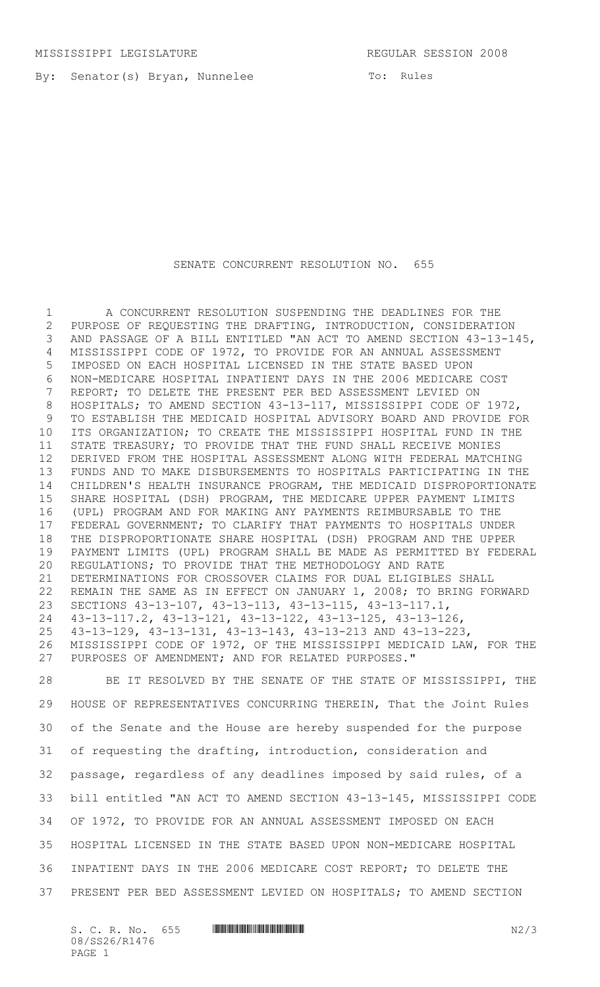By: Senator(s) Bryan, Nunnelee

## SENATE CONCURRENT RESOLUTION NO. 655

 A CONCURRENT RESOLUTION SUSPENDING THE DEADLINES FOR THE PURPOSE OF REQUESTING THE DRAFTING, INTRODUCTION, CONSIDERATION AND PASSAGE OF A BILL ENTITLED "AN ACT TO AMEND SECTION 43-13-145, MISSISSIPPI CODE OF 1972, TO PROVIDE FOR AN ANNUAL ASSESSMENT IMPOSED ON EACH HOSPITAL LICENSED IN THE STATE BASED UPON NON-MEDICARE HOSPITAL INPATIENT DAYS IN THE 2006 MEDICARE COST REPORT; TO DELETE THE PRESENT PER BED ASSESSMENT LEVIED ON HOSPITALS; TO AMEND SECTION 43-13-117, MISSISSIPPI CODE OF 1972, TO ESTABLISH THE MEDICAID HOSPITAL ADVISORY BOARD AND PROVIDE FOR ITS ORGANIZATION; TO CREATE THE MISSISSIPPI HOSPITAL FUND IN THE STATE TREASURY; TO PROVIDE THAT THE FUND SHALL RECEIVE MONIES DERIVED FROM THE HOSPITAL ASSESSMENT ALONG WITH FEDERAL MATCHING FUNDS AND TO MAKE DISBURSEMENTS TO HOSPITALS PARTICIPATING IN THE CHILDREN'S HEALTH INSURANCE PROGRAM, THE MEDICAID DISPROPORTIONATE SHARE HOSPITAL (DSH) PROGRAM, THE MEDICARE UPPER PAYMENT LIMITS (UPL) PROGRAM AND FOR MAKING ANY PAYMENTS REIMBURSABLE TO THE FEDERAL GOVERNMENT; TO CLARIFY THAT PAYMENTS TO HOSPITALS UNDER THE DISPROPORTIONATE SHARE HOSPITAL (DSH) PROGRAM AND THE UPPER PAYMENT LIMITS (UPL) PROGRAM SHALL BE MADE AS PERMITTED BY FEDERAL REGULATIONS; TO PROVIDE THAT THE METHODOLOGY AND RATE DETERMINATIONS FOR CROSSOVER CLAIMS FOR DUAL ELIGIBLES SHALL REMAIN THE SAME AS IN EFFECT ON JANUARY 1, 2008; TO BRING FORWARD SECTIONS 43-13-107, 43-13-113, 43-13-115, 43-13-117.1, 43-13-117.2, 43-13-121, 43-13-122, 43-13-125, 43-13-126, 43-13-129, 43-13-131, 43-13-143, 43-13-213 AND 43-13-223, MISSISSIPPI CODE OF 1972, OF THE MISSISSIPPI MEDICAID LAW, FOR THE PURPOSES OF AMENDMENT; AND FOR RELATED PURPOSES."

 BE IT RESOLVED BY THE SENATE OF THE STATE OF MISSISSIPPI, THE HOUSE OF REPRESENTATIVES CONCURRING THEREIN, That the Joint Rules of the Senate and the House are hereby suspended for the purpose of requesting the drafting, introduction, consideration and passage, regardless of any deadlines imposed by said rules, of a bill entitled "AN ACT TO AMEND SECTION 43-13-145, MISSISSIPPI CODE OF 1972, TO PROVIDE FOR AN ANNUAL ASSESSMENT IMPOSED ON EACH HOSPITAL LICENSED IN THE STATE BASED UPON NON-MEDICARE HOSPITAL INPATIENT DAYS IN THE 2006 MEDICARE COST REPORT; TO DELETE THE PRESENT PER BED ASSESSMENT LEVIED ON HOSPITALS; TO AMEND SECTION

S. C. R. No. 655 \*SS26/R1476\* N2/3 08/SS26/R1476 PAGE 1